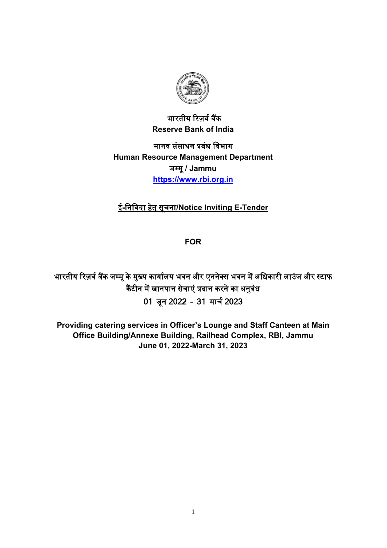

भारतीय रिजर्व बैंक **Reserve Bank of India**

मानव संसाधन �बंध िवभाग **Human Resource Management Department**  जम्मू**/ Jammu [https://www.rbi.org.in](https://www.rbi.org.in/)**

# ई**-**िनिवदा हेतु सूचना**/Notice Inviting E-Tender**

**FOR**

भारतीय रिज़र्व बैंक जम्मू के मुख्य कार्यालय भवन और एननेक्स भवन में अधिकारी लाउंज और स्टाफ कैंटीन में खानपान सेवाएं प्रदान करने का अनुबंध 01 जून 2022 – 31 माचर् 2023

**Providing catering services in Officer's Lounge and Staff Canteen at Main Office Building/Annexe Building, Railhead Complex, RBI, Jammu June 01, 2022-March 31, 2023**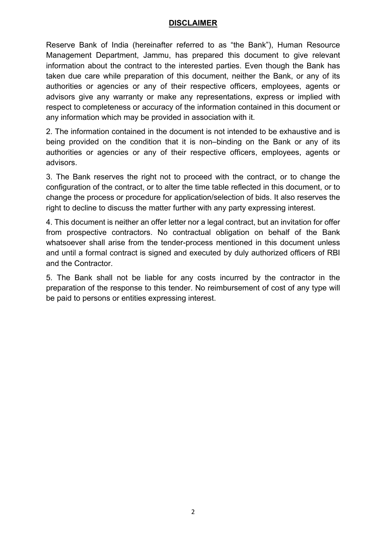#### **DISCLAIMER**

Reserve Bank of India (hereinafter referred to as "the Bank"), Human Resource Management Department, Jammu, has prepared this document to give relevant information about the contract to the interested parties. Even though the Bank has taken due care while preparation of this document, neither the Bank, or any of its authorities or agencies or any of their respective officers, employees, agents or advisors give any warranty or make any representations, express or implied with respect to completeness or accuracy of the information contained in this document or any information which may be provided in association with it.

2. The information contained in the document is not intended to be exhaustive and is being provided on the condition that it is non–binding on the Bank or any of its authorities or agencies or any of their respective officers, employees, agents or advisors.

3. The Bank reserves the right not to proceed with the contract, or to change the configuration of the contract, or to alter the time table reflected in this document, or to change the process or procedure for application/selection of bids. It also reserves the right to decline to discuss the matter further with any party expressing interest.

4. This document is neither an offer letter nor a legal contract, but an invitation for offer from prospective contractors. No contractual obligation on behalf of the Bank whatsoever shall arise from the tender-process mentioned in this document unless and until a formal contract is signed and executed by duly authorized officers of RBI and the Contractor.

5. The Bank shall not be liable for any costs incurred by the contractor in the preparation of the response to this tender. No reimbursement of cost of any type will be paid to persons or entities expressing interest.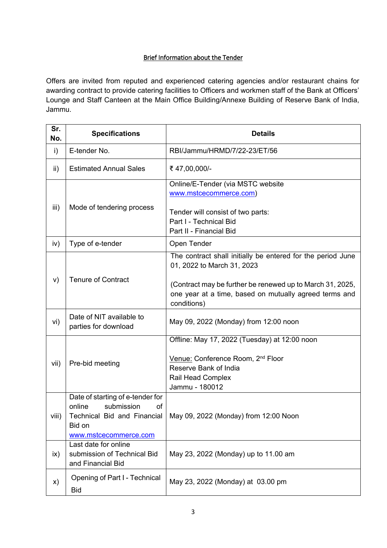#### Brief Information about the Tender

Offers are invited from reputed and experienced catering agencies and/or restaurant chains for awarding contract to provide catering facilities to Officers and workmen staff of the Bank at Officers' Lounge and Staff Canteen at the Main Office Building/Annexe Building of Reserve Bank of India, Jammu.

| Sr.<br>No. | <b>Specifications</b>                                                                             | <b>Details</b>                                                                                                                                                                                                                  |  |
|------------|---------------------------------------------------------------------------------------------------|---------------------------------------------------------------------------------------------------------------------------------------------------------------------------------------------------------------------------------|--|
| i)         | E-tender No.                                                                                      | RBI/Jammu/HRMD/7/22-23/ET/56                                                                                                                                                                                                    |  |
| ii)        | <b>Estimated Annual Sales</b>                                                                     | ₹47,00,000/-                                                                                                                                                                                                                    |  |
| iii)       | Mode of tendering process                                                                         | Online/E-Tender (via MSTC website<br>www.mstcecommerce.com)<br>Tender will consist of two parts:<br>Part I - Technical Bid<br>Part II - Financial Bid                                                                           |  |
| iv)        | Type of e-tender                                                                                  | Open Tender                                                                                                                                                                                                                     |  |
| V)         | <b>Tenure of Contract</b>                                                                         | The contract shall initially be entered for the period June<br>01, 2022 to March 31, 2023<br>(Contract may be further be renewed up to March 31, 2025,<br>one year at a time, based on mutually agreed terms and<br>conditions) |  |
| vi)        | Date of NIT available to<br>parties for download                                                  | May 09, 2022 (Monday) from 12:00 noon                                                                                                                                                                                           |  |
| vii)       | Pre-bid meeting                                                                                   | Offline: May 17, 2022 (Tuesday) at 12:00 noon<br>Venue: Conference Room, 2 <sup>nd</sup> Floor<br>Reserve Bank of India<br>Rail Head Complex<br>Jammu - 180012                                                                  |  |
| viii)      | Date of starting of e-tender for<br>submission<br>online<br>оf<br>Bid on<br>www.mstcecommerce.com | Technical Bid and Financial   May 09, 2022 (Monday) from 12:00 Noon                                                                                                                                                             |  |
| ix)        | Last date for online<br>submission of Technical Bid<br>and Financial Bid                          | May 23, 2022 (Monday) up to 11.00 am                                                                                                                                                                                            |  |
| X)         | Opening of Part I - Technical<br><b>Bid</b>                                                       | May 23, 2022 (Monday) at 03.00 pm                                                                                                                                                                                               |  |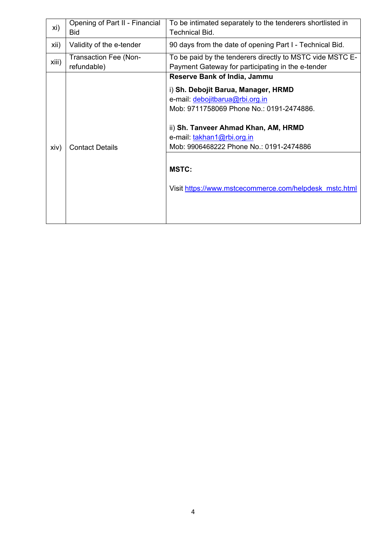| xi)   | Opening of Part II - Financial<br><b>Bid</b> | To be intimated separately to the tenderers shortlisted in<br><b>Technical Bid.</b>                                                                                                                                                                                                                                                                  |
|-------|----------------------------------------------|------------------------------------------------------------------------------------------------------------------------------------------------------------------------------------------------------------------------------------------------------------------------------------------------------------------------------------------------------|
| xii)  | Validity of the e-tender                     | 90 days from the date of opening Part I - Technical Bid.                                                                                                                                                                                                                                                                                             |
| xiii) | <b>Transaction Fee (Non-</b><br>refundable)  | To be paid by the tenderers directly to MSTC vide MSTC E-<br>Payment Gateway for participating in the e-tender                                                                                                                                                                                                                                       |
| xiv)  | <b>Contact Details</b>                       | <b>Reserve Bank of India, Jammu</b><br>i) Sh. Debojit Barua, Manager, HRMD<br>e-mail: debojitbarua@rbi.org.in<br>Mob: 9711758069 Phone No.: 0191-2474886.<br>ii) Sh. Tanveer Ahmad Khan, AM, HRMD<br>e-mail: takhan1@rbi.org.in<br>Mob: 9906468222 Phone No.: 0191-2474886<br><b>MSTC:</b><br>Visit https://www.mstcecommerce.com/helpdesk_mstc.html |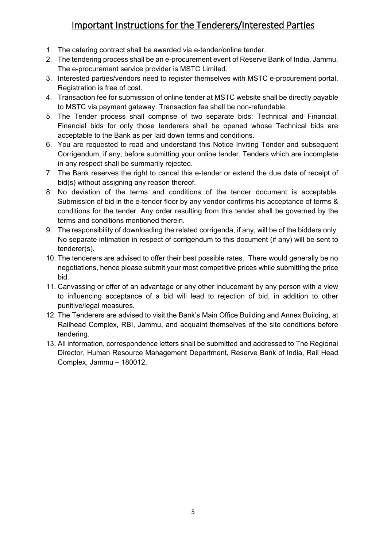# Important Instructions for the Tenderers/Interested Parties

- 1. The catering contract shall be awarded via e-tender/online tender.
- 2. The tendering process shall be an e-procurement event of Reserve Bank of India, Jammu. The e-procurement service provider is MSTC Limited.
- 3. Interested parties/vendors need to register themselves with MSTC e-procurement portal. Registration is free of cost.
- 4. Transaction fee for submission of online tender at MSTC website shall be directly payable to MSTC via payment gateway. Transaction fee shall be non-refundable.
- 5. The Tender process shall comprise of two separate bids: Technical and Financial. Financial bids for only those tenderers shall be opened whose Technical bids are acceptable to the Bank as per laid down terms and conditions.
- 6. You are requested to read and understand this Notice Inviting Tender and subsequent Corrigendum, if any, before submitting your online tender. Tenders which are incomplete in any respect shall be summarily rejected.
- 7. The Bank reserves the right to cancel this e-tender or extend the due date of receipt of bid(s) without assigning any reason thereof.
- 8. No deviation of the terms and conditions of the tender document is acceptable. Submission of bid in the e-tender floor by any vendor confirms his acceptance of terms & conditions for the tender. Any order resulting from this tender shall be governed by the terms and conditions mentioned therein.
- 9. The responsibility of downloading the related corrigenda, if any, will be of the bidders only. No separate intimation in respect of corrigendum to this document (if any) will be sent to tenderer(s).
- 10. The tenderers are advised to offer their best possible rates. There would generally be no negotiations, hence please submit your most competitive prices while submitting the price bid.
- 11. Canvassing or offer of an advantage or any other inducement by any person with a view to influencing acceptance of a bid will lead to rejection of bid, in addition to other punitive/legal measures.
- 12. The Tenderers are advised to visit the Bank's Main Office Building and Annex Building, at Railhead Complex, RBI, Jammu, and acquaint themselves of the site conditions before tendering.
- 13. All information, correspondence letters shall be submitted and addressed to The Regional Director, Human Resource Management Department, Reserve Bank of India, Rail Head Complex, Jammu – 180012.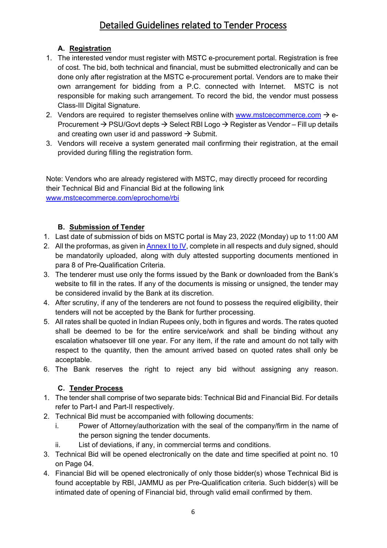# Detailed Guidelines related to Tender Process

### **A. Registration**

- 1. The interested vendor must register with MSTC e-procurement portal. Registration is free of cost. The bid, both technical and financial, must be submitted electronically and can be done only after registration at the MSTC e-procurement portal. Vendors are to make their own arrangement for bidding from a P.C. connected with Internet. MSTC is not responsible for making such arrangement. To record the bid, the vendor must possess Class-III Digital Signature.
- 2. Vendors are required to register themselves online with [www.mstcecommerce.com](https://www.mstcecommerce.com/)  $\rightarrow$  e-Procurement  $\rightarrow$  PSU/Govt depts  $\rightarrow$  Select RBI Logo  $\rightarrow$  Register as Vendor – Fill up details and creating own user id and password  $\rightarrow$  Submit.
- 3. Vendors will receive a system generated mail confirming their registration, at the email provided during filling the registration form.

Note: Vendors who are already registered with MSTC, may directly proceed for recording their Technical Bid and Financial Bid at the following link [www.mstcecommerce.com/eprochome/rbi](https://www.mstcecommerce.com/eprochome/rbi)

### **B. Submission of Tender**

- 1. Last date of submission of bids on MSTC portal is May 23, 2022 (Monday) up to 11:00 AM
- 2. All the proformas, as given i[n Annex I](#page-28-0) to IV, complete in all respects and duly signed, should be mandatorily uploaded, along with duly attested supporting documents mentioned in para 8 of Pre-Qualification Criteria.
- 3. The tenderer must use only the forms issued by the Bank or downloaded from the Bank's website to fill in the rates. If any of the documents is missing or unsigned, the tender may be considered invalid by the Bank at its discretion.
- 4. After scrutiny, if any of the tenderers are not found to possess the required eligibility, their tenders will not be accepted by the Bank for further processing.
- 5. All rates shall be quoted in Indian Rupees only, both in figures and words. The rates quoted shall be deemed to be for the entire service/work and shall be binding without any escalation whatsoever till one year. For any item, if the rate and amount do not tally with respect to the quantity, then the amount arrived based on quoted rates shall only be acceptable.
- 6. The Bank reserves the right to reject any bid without assigning any reason.

# **C. Tender Process**

- 1. The tender shall comprise of two separate bids: Technical Bid and Financial Bid. For details refer to Part-I and Part-II respectively.
- 2. Technical Bid must be accompanied with following documents:
	- i. Power of Attorney/authorization with the seal of the company/firm in the name of the person signing the tender documents.
	- ii. List of deviations, if any, in commercial terms and conditions.
- 3. Technical Bid will be opened electronically on the date and time specified at point no. 10 on Page 04.
- 4. Financial Bid will be opened electronically of only those bidder(s) whose Technical Bid is found acceptable by RBI, JAMMU as per Pre-Qualification criteria. Such bidder(s) will be intimated date of opening of Financial bid, through valid email confirmed by them.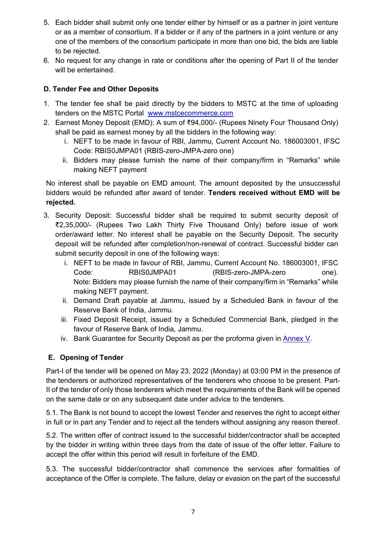- 5. Each bidder shall submit only one tender either by himself or as a partner in joint venture or as a member of consortium. If a bidder or if any of the partners in a joint venture or any one of the members of the consortium participate in more than one bid, the bids are liable to be rejected.
- 6. No request for any change in rate or conditions after the opening of Part II of the tender will be entertained.

#### **D. Tender Fee and Other Deposits**

- 1. The tender fee shall be paid directly by the bidders to MSTC at the time of uploading tenders on the MSTC Portal [www.mstcecommerce.com](https://www.mstcecommerce.com/)
- 2. Earnest Money Deposit (EMD): A sum of ₹94,000/- (Rupees Ninety Four Thousand Only) shall be paid as earnest money by all the bidders in the following way:
	- i. NEFT to be made in favour of RBI, Jammu, Current Account No. 186003001, IFSC Code: RBIS0JMPA01 (RBIS-zero-JMPA-zero one)
	- ii. Bidders may please furnish the name of their company/firm in "Remarks" while making NEFT payment

No interest shall be payable on EMD amount. The amount deposited by the unsuccessful bidders would be refunded after award of tender. **Tenders received without EMD will be rejected.**

- 3. Security Deposit: Successful bidder shall be required to submit security deposit of ₹2,35,000/- (Rupees Two Lakh Thirty Five Thousand Only) before issue of work order/award letter. No interest shall be payable on the Security Deposit. The security deposit will be refunded after completion/non-renewal of contract. Successful bidder can submit security deposit in one of the following ways:
	- i. NEFT to be made in favour of RBI, Jammu, Current Account No. 186003001, IFSC Code: RBIS0JMPA01 (RBIS-zero-JMPA-zero one). Note: Bidders may please furnish the name of their company/firm in "Remarks" while making NEFT payment.
	- ii. Demand Draft payable at Jammu, issued by a Scheduled Bank in favour of the Reserve Bank of India, Jammu.
	- iii. Fixed Deposit Receipt, issued by a Scheduled Commercial Bank, pledged in the favour of Reserve Bank of India, Jammu.
	- iv. Bank Guarantee for Security Deposit as per the proforma given in [Annex V.](#page-34-0)

### **E. Opening of Tender**

Part-I of the tender will be opened on May 23, 2022 (Monday) at 03:00 PM in the presence of the tenderers or authorized representatives of the tenderers who choose to be present. Part-II of the tender of only those tenderers which meet the requirements of the Bank will be opened on the same date or on any subsequent date under advice to the tenderers.

5.1. The Bank is not bound to accept the lowest Tender and reserves the right to accept either in full or in part any Tender and to reject all the tenders without assigning any reason thereof.

5.2. The written offer of contract issued to the successful bidder/contractor shall be accepted by the bidder in writing within three days from the date of issue of the offer letter. Failure to accept the offer within this period will result in forfeiture of the EMD.

5.3. The successful bidder/contractor shall commence the services after formalities of acceptance of the Offer is complete. The failure, delay or evasion on the part of the successful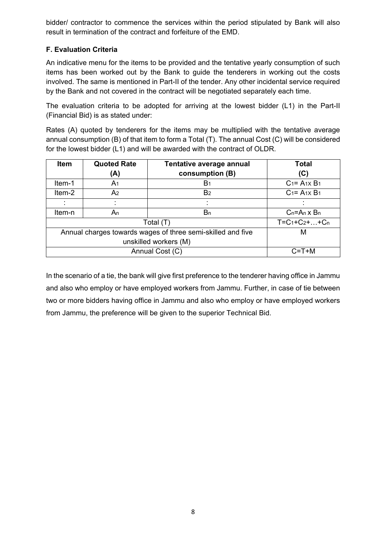bidder/ contractor to commence the services within the period stipulated by Bank will also result in termination of the contract and forfeiture of the EMD.

#### **F. Evaluation Criteria**

An indicative menu for the items to be provided and the tentative yearly consumption of such items has been worked out by the Bank to guide the tenderers in working out the costs involved. The same is mentioned in Part-II of the tender. Any other incidental service required by the Bank and not covered in the contract will be negotiated separately each time.

The evaluation criteria to be adopted for arriving at the lowest bidder (L1) in the Part-II (Financial Bid) is as stated under:

Rates (A) quoted by tenderers for the items may be multiplied with the tentative average annual consumption (B) of that item to form a Total (T). The annual Cost (C) will be considered for the lowest bidder (L1) and will be awarded with the contract of OLDR.

| <b>Item</b>           | <b>Quoted Rate</b>                                               | Tentative average annual | <b>Total</b>           |  |  |
|-----------------------|------------------------------------------------------------------|--------------------------|------------------------|--|--|
|                       | (A)                                                              | consumption (B)          | (C)                    |  |  |
| Item-1                | A <sub>1</sub>                                                   | B <sub>1</sub>           | $C_1 = A_1 \times B_1$ |  |  |
| Item-2                | A2                                                               | B <sub>2</sub>           | $C_1 = A_1 \times B_1$ |  |  |
| ٠                     |                                                                  |                          |                        |  |  |
| Item-n                | An                                                               | Bn                       | $C_n = A_n \times B_n$ |  |  |
|                       | Total (T)                                                        | $T = C_1 + C_2 +  + C_n$ |                        |  |  |
|                       | Annual charges towards wages of three semi-skilled and five<br>м |                          |                        |  |  |
| unskilled workers (M) |                                                                  |                          |                        |  |  |
|                       |                                                                  | Annual Cost (C)          | $C = T + M$            |  |  |

In the scenario of a tie, the bank will give first preference to the tenderer having office in Jammu and also who employ or have employed workers from Jammu. Further, in case of tie between two or more bidders having office in Jammu and also who employ or have employed workers from Jammu, the preference will be given to the superior Technical Bid.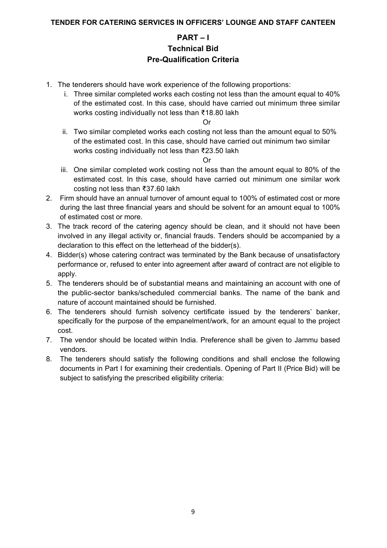# **PART – I Technical Bid Pre-Qualification Criteria**

- 1. The tenderers should have work experience of the following proportions:
	- i. Three similar completed works each costing not less than the amount equal to 40% of the estimated cost. In this case, should have carried out minimum three similar works costing individually not less than ₹18.80 lakh

Or

ii. Two similar completed works each costing not less than the amount equal to 50% of the estimated cost. In this case, should have carried out minimum two similar works costing individually not less than ₹23.50 lakh

Or

- iii. One similar completed work costing not less than the amount equal to 80% of the estimated cost. In this case, should have carried out minimum one similar work costing not less than ₹37.60 lakh
- 2. Firm should have an annual turnover of amount equal to 100% of estimated cost or more during the last three financial years and should be solvent for an amount equal to 100% of estimated cost or more.
- 3. The track record of the catering agency should be clean, and it should not have been involved in any illegal activity or, financial frauds. Tenders should be accompanied by a declaration to this effect on the letterhead of the bidder(s).
- 4. Bidder(s) whose catering contract was terminated by the Bank because of unsatisfactory performance or, refused to enter into agreement after award of contract are not eligible to apply.
- 5. The tenderers should be of substantial means and maintaining an account with one of the public-sector banks/scheduled commercial banks. The name of the bank and nature of account maintained should be furnished.
- 6. The tenderers should furnish solvency certificate issued by the tenderers' banker, specifically for the purpose of the empanelment/work, for an amount equal to the project cost.
- 7. The vendor should be located within India. Preference shall be given to Jammu based vendors.
- 8. The tenderers should satisfy the following conditions and shall enclose the following documents in Part I for examining their credentials. Opening of Part II (Price Bid) will be subject to satisfying the prescribed eligibility criteria: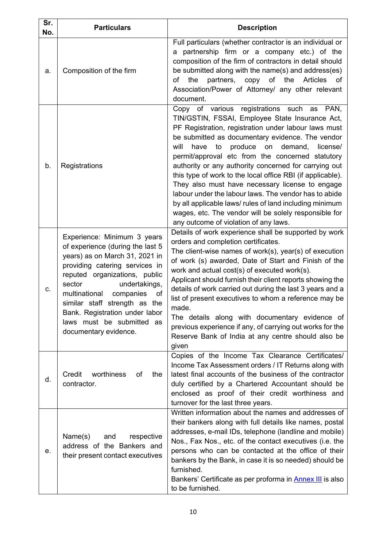| Sr.<br>No. | <b>Particulars</b>                                                                                                                                                                                                                                                                                                                                           | <b>Description</b>                                                                                                                                                                                                                                                                                                                                                                                                                                                                                                                                                                                                                                                                                                             |
|------------|--------------------------------------------------------------------------------------------------------------------------------------------------------------------------------------------------------------------------------------------------------------------------------------------------------------------------------------------------------------|--------------------------------------------------------------------------------------------------------------------------------------------------------------------------------------------------------------------------------------------------------------------------------------------------------------------------------------------------------------------------------------------------------------------------------------------------------------------------------------------------------------------------------------------------------------------------------------------------------------------------------------------------------------------------------------------------------------------------------|
| a.         | Composition of the firm                                                                                                                                                                                                                                                                                                                                      | Full particulars (whether contractor is an individual or<br>a partnership firm or a company etc.) of the<br>composition of the firm of contractors in detail should<br>be submitted along with the name(s) and address(es)<br>of<br>the<br><b>Articles</b><br>of<br>the<br>partners,<br>copy<br>of<br>Association/Power of Attorney/ any other relevant<br>document.                                                                                                                                                                                                                                                                                                                                                           |
| b.         | Registrations                                                                                                                                                                                                                                                                                                                                                | Copy of various registrations such as<br>PAN,<br>TIN/GSTIN, FSSAI, Employee State Insurance Act,<br>PF Registration, registration under labour laws must<br>be submitted as documentary evidence. The vendor<br>produce<br>have<br>on<br>demand,<br>license/<br>will<br>to<br>permit/approval etc from the concerned statutory<br>authority or any authority concerned for carrying out<br>this type of work to the local office RBI (if applicable).<br>They also must have necessary license to engage<br>labour under the labour laws. The vendor has to abide<br>by all applicable laws/ rules of land including minimum<br>wages, etc. The vendor will be solely responsible for<br>any outcome of violation of any laws. |
| C.         | Experience: Minimum 3 years<br>of experience (during the last 5<br>years) as on March 31, 2021 in<br>providing catering services in<br>reputed organizations, public<br>sector<br>undertakings,<br>multinational<br>companies<br>of<br>similar staff strength as the<br>Bank. Registration under labor<br>laws must be submitted as<br>documentary evidence. | Details of work experience shall be supported by work<br>orders and completion certificates.<br>The client-wise names of work(s), year(s) of execution<br>of work (s) awarded, Date of Start and Finish of the<br>work and actual cost(s) of executed work(s).<br>Applicant should furnish their client reports showing the<br>details of work carried out during the last 3 years and a<br>list of present executives to whom a reference may be<br>made.<br>The details along with documentary evidence of<br>previous experience if any, of carrying out works for the<br>Reserve Bank of India at any centre should also be<br>given                                                                                       |
| d.         | Credit<br>worthiness<br>the<br>оf<br>contractor.                                                                                                                                                                                                                                                                                                             | Copies of the Income Tax Clearance Certificates/<br>Income Tax Assessment orders / IT Returns along with<br>latest final accounts of the business of the contractor<br>duly certified by a Chartered Accountant should be<br>enclosed as proof of their credit worthiness and<br>turnover for the last three years.                                                                                                                                                                                                                                                                                                                                                                                                            |
| е.         | Name(s)<br>and<br>respective<br>address of the Bankers and<br>their present contact executives                                                                                                                                                                                                                                                               | Written information about the names and addresses of<br>their bankers along with full details like names, postal<br>addresses, e-mail IDs, telephone (landline and mobile)<br>Nos., Fax Nos., etc. of the contact executives (i.e. the<br>persons who can be contacted at the office of their<br>bankers by the Bank, in case it is so needed) should be<br>furnished.<br>Bankers' Certificate as per proforma in <b>Annex III</b> is also<br>to be furnished.                                                                                                                                                                                                                                                                 |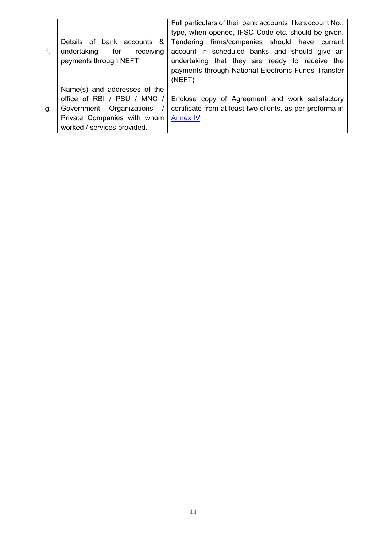| f. | Details of bank accounts &<br>for<br>receiving<br>undertaking<br>payments through NEFT                                                                | Full particulars of their bank accounts, like account No.,<br>type, when opened, IFSC Code etc. should be given.<br>firms/companies should have current<br>Tendering<br>account in scheduled banks and should give an<br>undertaking that they are ready to receive the<br>payments through National Electronic Funds Transfer<br>(NEFT) |
|----|-------------------------------------------------------------------------------------------------------------------------------------------------------|------------------------------------------------------------------------------------------------------------------------------------------------------------------------------------------------------------------------------------------------------------------------------------------------------------------------------------------|
| g. | Name(s) and addresses of the<br>office of RBI / PSU / MNC /<br>Government Organizations<br>Private Companies with whom<br>worked / services provided. | Enclose copy of Agreement and work satisfactory<br>certificate from at least two clients, as per proforma in<br><b>Annex IV</b>                                                                                                                                                                                                          |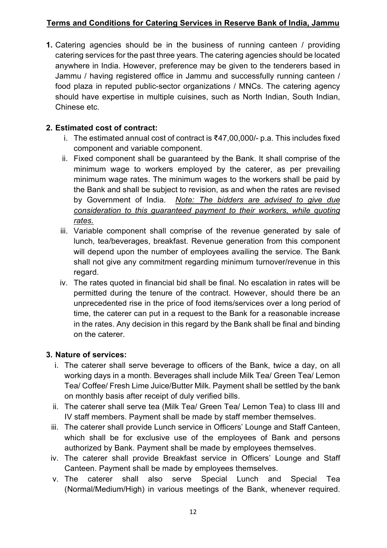# **Terms and Conditions for Catering Services in Reserve Bank of India, Jammu**

**1.** Catering agencies should be in the business of running canteen / providing catering services for the past three years. The catering agencies should be located anywhere in India. However, preference may be given to the tenderers based in Jammu / having registered office in Jammu and successfully running canteen / food plaza in reputed public-sector organizations / MNCs. The catering agency should have expertise in multiple cuisines, such as North Indian, South Indian, Chinese etc.

# **2. Estimated cost of contract:**

- i. The estimated annual cost of contract is ₹47,00,000/- p.a. This includes fixed component and variable component.
- ii. Fixed component shall be guaranteed by the Bank. It shall comprise of the minimum wage to workers employed by the caterer, as per prevailing minimum wage rates. The minimum wages to the workers shall be paid by the Bank and shall be subject to revision, as and when the rates are revised by Government of India. *Note: The bidders are advised to give due consideration to this guaranteed payment to their workers, while quoting rates.*
- iii. Variable component shall comprise of the revenue generated by sale of lunch, tea/beverages, breakfast. Revenue generation from this component will depend upon the number of employees availing the service. The Bank shall not give any commitment regarding minimum turnover/revenue in this regard.
- iv. The rates quoted in financial bid shall be final. No escalation in rates will be permitted during the tenure of the contract. However, should there be an unprecedented rise in the price of food items/services over a long period of time, the caterer can put in a request to the Bank for a reasonable increase in the rates. Any decision in this regard by the Bank shall be final and binding on the caterer.

### **3. Nature of services:**

- i. The caterer shall serve beverage to officers of the Bank, twice a day, on all working days in a month. Beverages shall include Milk Tea/ Green Tea/ Lemon Tea/ Coffee/ Fresh Lime Juice/Butter Milk. Payment shall be settled by the bank on monthly basis after receipt of duly verified bills.
- ii. The caterer shall serve tea (Milk Tea/ Green Tea/ Lemon Tea) to class III and IV staff members. Payment shall be made by staff member themselves.
- iii. The caterer shall provide Lunch service in Officers' Lounge and Staff Canteen, which shall be for exclusive use of the employees of Bank and persons authorized by Bank. Payment shall be made by employees themselves.
- iv. The caterer shall provide Breakfast service in Officers' Lounge and Staff Canteen. Payment shall be made by employees themselves.
- v. The caterer shall also serve Special Lunch and Special Tea (Normal/Medium/High) in various meetings of the Bank, whenever required.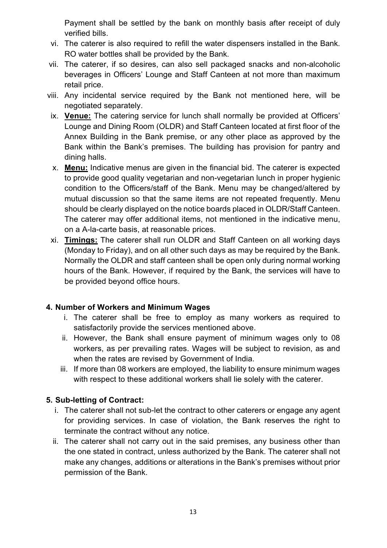Payment shall be settled by the bank on monthly basis after receipt of duly verified bills.

- vi. The caterer is also required to refill the water dispensers installed in the Bank. RO water bottles shall be provided by the Bank.
- vii. The caterer, if so desires, can also sell packaged snacks and non-alcoholic beverages in Officers' Lounge and Staff Canteen at not more than maximum retail price.
- viii. Any incidental service required by the Bank not mentioned here, will be negotiated separately.
- ix. **Venue:** The catering service for lunch shall normally be provided at Officers' Lounge and Dining Room (OLDR) and Staff Canteen located at first floor of the Annex Building in the Bank premise, or any other place as approved by the Bank within the Bank's premises. The building has provision for pantry and dining halls.
- x. **Menu:** Indicative menus are given in the financial bid. The caterer is expected to provide good quality vegetarian and non-vegetarian lunch in proper hygienic condition to the Officers/staff of the Bank. Menu may be changed/altered by mutual discussion so that the same items are not repeated frequently. Menu should be clearly displayed on the notice boards placed in OLDR/Staff Canteen. The caterer may offer additional items, not mentioned in the indicative menu, on a A-la-carte basis, at reasonable prices.
- xi. **Timings:** The caterer shall run OLDR and Staff Canteen on all working days (Monday to Friday), and on all other such days as may be required by the Bank. Normally the OLDR and staff canteen shall be open only during normal working hours of the Bank. However, if required by the Bank, the services will have to be provided beyond office hours.

### **4. Number of Workers and Minimum Wages**

- i. The caterer shall be free to employ as many workers as required to satisfactorily provide the services mentioned above.
- ii. However, the Bank shall ensure payment of minimum wages only to 08 workers, as per prevailing rates. Wages will be subject to revision, as and when the rates are revised by Government of India.
- iii. If more than 08 workers are employed, the liability to ensure minimum wages with respect to these additional workers shall lie solely with the caterer.

### **5. Sub-letting of Contract:**

- i. The caterer shall not sub-let the contract to other caterers or engage any agent for providing services. In case of violation, the Bank reserves the right to terminate the contract without any notice.
- ii. The caterer shall not carry out in the said premises, any business other than the one stated in contract, unless authorized by the Bank. The caterer shall not make any changes, additions or alterations in the Bank's premises without prior permission of the Bank.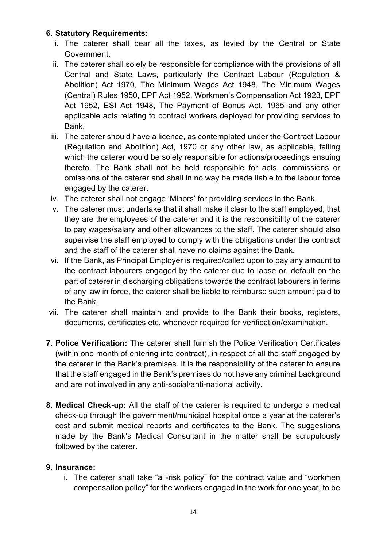### **6. Statutory Requirements:**

- i. The caterer shall bear all the taxes, as levied by the Central or State Government.
- ii. The caterer shall solely be responsible for compliance with the provisions of all Central and State Laws, particularly the Contract Labour (Regulation & Abolition) Act 1970, The Minimum Wages Act 1948, The Minimum Wages (Central) Rules 1950, EPF Act 1952, Workmen's Compensation Act 1923, EPF Act 1952, ESI Act 1948, The Payment of Bonus Act, 1965 and any other applicable acts relating to contract workers deployed for providing services to Bank.
- iii. The caterer should have a licence, as contemplated under the Contract Labour (Regulation and Abolition) Act, 1970 or any other law, as applicable, failing which the caterer would be solely responsible for actions/proceedings ensuing thereto. The Bank shall not be held responsible for acts, commissions or omissions of the caterer and shall in no way be made liable to the labour force engaged by the caterer.
- iv. The caterer shall not engage 'Minors' for providing services in the Bank.
- v. The caterer must undertake that it shall make it clear to the staff employed, that they are the employees of the caterer and it is the responsibility of the caterer to pay wages/salary and other allowances to the staff. The caterer should also supervise the staff employed to comply with the obligations under the contract and the staff of the caterer shall have no claims against the Bank.
- vi. If the Bank, as Principal Employer is required/called upon to pay any amount to the contract labourers engaged by the caterer due to lapse or, default on the part of caterer in discharging obligations towards the contract labourers in terms of any law in force, the caterer shall be liable to reimburse such amount paid to the Bank.
- vii. The caterer shall maintain and provide to the Bank their books, registers, documents, certificates etc. whenever required for verification/examination.
- **7. Police Verification:** The caterer shall furnish the Police Verification Certificates (within one month of entering into contract), in respect of all the staff engaged by the caterer in the Bank's premises. It is the responsibility of the caterer to ensure that the staff engaged in the Bank's premises do not have any criminal background and are not involved in any anti-social/anti-national activity.
- **8. Medical Check-up:** All the staff of the caterer is required to undergo a medical check-up through the government/municipal hospital once a year at the caterer's cost and submit medical reports and certificates to the Bank. The suggestions made by the Bank's Medical Consultant in the matter shall be scrupulously followed by the caterer.

### **9. Insurance:**

i. The caterer shall take "all-risk policy" for the contract value and "workmen compensation policy" for the workers engaged in the work for one year, to be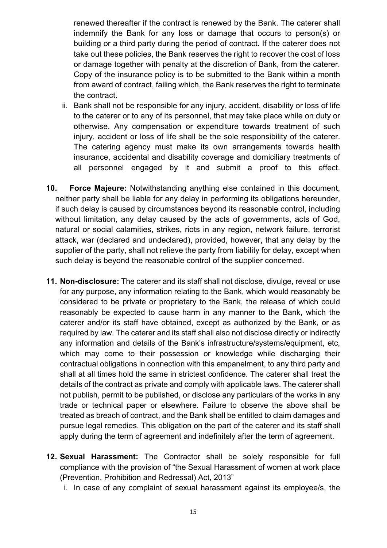renewed thereafter if the contract is renewed by the Bank. The caterer shall indemnify the Bank for any loss or damage that occurs to person(s) or building or a third party during the period of contract. If the caterer does not take out these policies, the Bank reserves the right to recover the cost of loss or damage together with penalty at the discretion of Bank, from the caterer. Copy of the insurance policy is to be submitted to the Bank within a month from award of contract, failing which, the Bank reserves the right to terminate the contract.

- ii. Bank shall not be responsible for any injury, accident, disability or loss of life to the caterer or to any of its personnel, that may take place while on duty or otherwise. Any compensation or expenditure towards treatment of such injury, accident or loss of life shall be the sole responsibility of the caterer. The catering agency must make its own arrangements towards health insurance, accidental and disability coverage and domiciliary treatments of all personnel engaged by it and submit a proof to this effect.
- **10. Force Majeure:** Notwithstanding anything else contained in this document, neither party shall be liable for any delay in performing its obligations hereunder, if such delay is caused by circumstances beyond its reasonable control, including without limitation, any delay caused by the acts of governments, acts of God, natural or social calamities, strikes, riots in any region, network failure, terrorist attack, war (declared and undeclared), provided, however, that any delay by the supplier of the party, shall not relieve the party from liability for delay, except when such delay is beyond the reasonable control of the supplier concerned.
- **11. Non-disclosure:** The caterer and its staff shall not disclose, divulge, reveal or use for any purpose, any information relating to the Bank, which would reasonably be considered to be private or proprietary to the Bank, the release of which could reasonably be expected to cause harm in any manner to the Bank, which the caterer and/or its staff have obtained, except as authorized by the Bank, or as required by law. The caterer and its staff shall also not disclose directly or indirectly any information and details of the Bank's infrastructure/systems/equipment, etc, which may come to their possession or knowledge while discharging their contractual obligations in connection with this empanelment, to any third party and shall at all times hold the same in strictest confidence. The caterer shall treat the details of the contract as private and comply with applicable laws. The caterer shall not publish, permit to be published, or disclose any particulars of the works in any trade or technical paper or elsewhere. Failure to observe the above shall be treated as breach of contract, and the Bank shall be entitled to claim damages and pursue legal remedies. This obligation on the part of the caterer and its staff shall apply during the term of agreement and indefinitely after the term of agreement.
- **12. Sexual Harassment:** The Contractor shall be solely responsible for full compliance with the provision of "the Sexual Harassment of women at work place (Prevention, Prohibition and Redressal) Act, 2013"
	- i. In case of any complaint of sexual harassment against its employee/s, the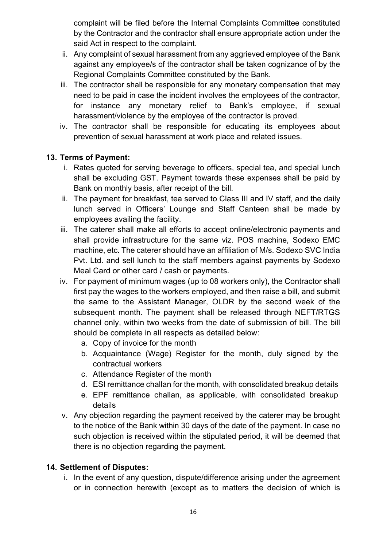complaint will be filed before the Internal Complaints Committee constituted by the Contractor and the contractor shall ensure appropriate action under the said Act in respect to the complaint.

- ii. Any complaint of sexual harassment from any aggrieved employee of the Bank against any employee/s of the contractor shall be taken cognizance of by the Regional Complaints Committee constituted by the Bank.
- iii. The contractor shall be responsible for any monetary compensation that may need to be paid in case the incident involves the employees of the contractor, for instance any monetary relief to Bank's employee, if sexual harassment/violence by the employee of the contractor is proved.
- iv. The contractor shall be responsible for educating its employees about prevention of sexual harassment at work place and related issues.

# **13. Terms of Payment:**

- i. Rates quoted for serving beverage to officers, special tea, and special lunch shall be excluding GST. Payment towards these expenses shall be paid by Bank on monthly basis, after receipt of the bill.
- ii. The payment for breakfast, tea served to Class III and IV staff, and the daily lunch served in Officers' Lounge and Staff Canteen shall be made by employees availing the facility.
- iii. The caterer shall make all efforts to accept online/electronic payments and shall provide infrastructure for the same viz. POS machine, Sodexo EMC machine, etc. The caterer should have an affiliation of M/s. Sodexo SVC India Pvt. Ltd. and sell lunch to the staff members against payments by Sodexo Meal Card or other card / cash or payments.
- iv. For payment of minimum wages (up to 08 workers only), the Contractor shall first pay the wages to the workers employed, and then raise a bill, and submit the same to the Assistant Manager, OLDR by the second week of the subsequent month. The payment shall be released through NEFT/RTGS channel only, within two weeks from the date of submission of bill. The bill should be complete in all respects as detailed below:
	- a. Copy of invoice for the month
	- b. Acquaintance (Wage) Register for the month, duly signed by the contractual workers
	- c. Attendance Register of the month
	- d. ESI remittance challan for the month, with consolidated breakup details
	- e. EPF remittance challan, as applicable, with consolidated breakup details
- v. Any objection regarding the payment received by the caterer may be brought to the notice of the Bank within 30 days of the date of the payment. In case no such objection is received within the stipulated period, it will be deemed that there is no objection regarding the payment.

# **14. Settlement of Disputes:**

i. In the event of any question, dispute/difference arising under the agreement or in connection herewith (except as to matters the decision of which is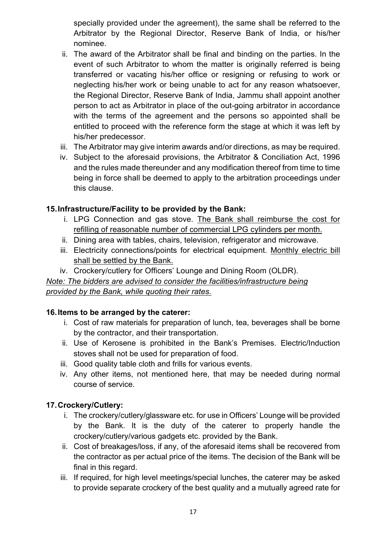specially provided under the agreement), the same shall be referred to the Arbitrator by the Regional Director, Reserve Bank of India, or his/her nominee.

- ii. The award of the Arbitrator shall be final and binding on the parties. In the event of such Arbitrator to whom the matter is originally referred is being transferred or vacating his/her office or resigning or refusing to work or neglecting his/her work or being unable to act for any reason whatsoever, the Regional Director, Reserve Bank of India, Jammu shall appoint another person to act as Arbitrator in place of the out-going arbitrator in accordance with the terms of the agreement and the persons so appointed shall be entitled to proceed with the reference form the stage at which it was left by his/her predecessor.
- iii. The Arbitrator may give interim awards and/or directions, as may be required.
- iv. Subject to the aforesaid provisions, the Arbitrator & Conciliation Act, 1996 and the rules made thereunder and any modification thereof from time to time being in force shall be deemed to apply to the arbitration proceedings under this clause.

## **15.Infrastructure/Facility to be provided by the Bank:**

- i. LPG Connection and gas stove. The Bank shall reimburse the cost for refilling of reasonable number of commercial LPG cylinders per month.
- ii. Dining area with tables, chairs, television, refrigerator and microwave.
- iii. Electricity connections/points for electrical equipment. Monthly electric bill shall be settled by the Bank.
- iv. Crockery/cutlery for Officers' Lounge and Dining Room (OLDR).

*Note: The bidders are advised to consider the facilities/infrastructure being provided by the Bank, while quoting their rates.*

### **16.Items to be arranged by the caterer:**

- i. Cost of raw materials for preparation of lunch, tea, beverages shall be borne by the contractor, and their transportation.
- ii. Use of Kerosene is prohibited in the Bank's Premises. Electric/Induction stoves shall not be used for preparation of food.
- iii. Good quality table cloth and frills for various events.
- iv. Any other items, not mentioned here, that may be needed during normal course of service.

# **17.Crockery/Cutlery:**

- i. The crockery/cutlery/glassware etc. for use in Officers' Lounge will be provided by the Bank. It is the duty of the caterer to properly handle the crockery/cutlery/various gadgets etc. provided by the Bank.
- ii. Cost of breakages/loss, if any, of the aforesaid items shall be recovered from the contractor as per actual price of the items. The decision of the Bank will be final in this regard.
- iii. If required, for high level meetings/special lunches, the caterer may be asked to provide separate crockery of the best quality and a mutually agreed rate for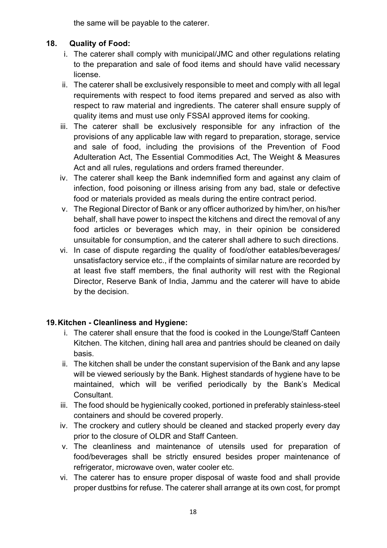the same will be payable to the caterer.

# **18. Quality of Food:**

- i. The caterer shall comply with municipal/JMC and other regulations relating to the preparation and sale of food items and should have valid necessary license.
- ii. The caterer shall be exclusively responsible to meet and comply with all legal requirements with respect to food items prepared and served as also with respect to raw material and ingredients. The caterer shall ensure supply of quality items and must use only FSSAI approved items for cooking.
- iii. The caterer shall be exclusively responsible for any infraction of the provisions of any applicable law with regard to preparation, storage, service and sale of food, including the provisions of the Prevention of Food Adulteration Act, The Essential Commodities Act, The Weight & Measures Act and all rules, regulations and orders framed thereunder.
- iv. The caterer shall keep the Bank indemnified form and against any claim of infection, food poisoning or illness arising from any bad, stale or defective food or materials provided as meals during the entire contract period.
- v. The Regional Director of Bank or any officer authorized by him/her, on his/her behalf, shall have power to inspect the kitchens and direct the removal of any food articles or beverages which may, in their opinion be considered unsuitable for consumption, and the caterer shall adhere to such directions.
- vi. In case of dispute regarding the quality of food/other eatables/beverages/ unsatisfactory service etc., if the complaints of similar nature are recorded by at least five staff members, the final authority will rest with the Regional Director, Reserve Bank of India, Jammu and the caterer will have to abide by the decision.

# **19.Kitchen - Cleanliness and Hygiene:**

- i. The caterer shall ensure that the food is cooked in the Lounge/Staff Canteen Kitchen. The kitchen, dining hall area and pantries should be cleaned on daily basis.
- ii. The kitchen shall be under the constant supervision of the Bank and any lapse will be viewed seriously by the Bank. Highest standards of hygiene have to be maintained, which will be verified periodically by the Bank's Medical Consultant.
- iii. The food should be hygienically cooked, portioned in preferably stainless-steel containers and should be covered properly.
- iv. The crockery and cutlery should be cleaned and stacked properly every day prior to the closure of OLDR and Staff Canteen.
- v. The cleanliness and maintenance of utensils used for preparation of food/beverages shall be strictly ensured besides proper maintenance of refrigerator, microwave oven, water cooler etc.
- vi. The caterer has to ensure proper disposal of waste food and shall provide proper dustbins for refuse. The caterer shall arrange at its own cost, for prompt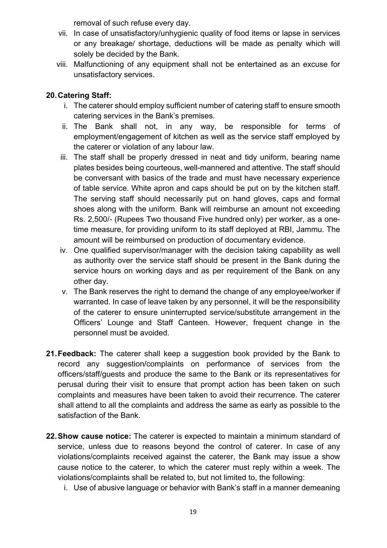removal of such refuse every day.

- vii. In case of unsatisfactory/unhygienic quality of food items or lapse in services or any breakage/ shortage, deductions will be made as penalty which will solely be decided by the Bank.
- viii. Malfunctioning of any equipment shall not be entertained as an excuse for unsatisfactory services.

# **20.Catering Staff:**

- i. The caterer should employ sufficient number of catering staff to ensure smooth catering services in the Bank's premises.
- ii. The Bank shall not, in any way, be responsible for terms of employment/engagement of kitchen as well as the service staff employed by the caterer or violation of any labour law.
- iii. The staff shall be properly dressed in neat and tidy uniform, bearing name plates besides being courteous, well-mannered and attentive. The staff should be conversant with basics of the trade and must have necessary experience of table service. White apron and caps should be put on by the kitchen staff. The serving staff should necessarily put on hand gloves, caps and formal shoes along with the uniform. Bank will reimburse an amount not exceeding Rs. 2,500/- (Rupees Two thousand Five hundred only) per worker, as a onetime measure, for providing uniform to its staff deployed at RBI, Jammu. The amount will be reimbursed on production of documentary evidence.
- iv. One qualified supervisor/manager with the decision taking capability as well as authority over the service staff should be present in the Bank during the service hours on working days and as per requirement of the Bank on any other day.
- v. The Bank reserves the right to demand the change of any employee/worker if warranted. In case of leave taken by any personnel, it will be the responsibility of the caterer to ensure uninterrupted service/substitute arrangement in the Officers' Lounge and Staff Canteen. However, frequent change in the personnel must be avoided.
- **21.Feedback:** The caterer shall keep a suggestion book provided by the Bank to record any suggestion/complaints on performance of services from the officers/staff/guests and produce the same to the Bank or its representatives for perusal during their visit to ensure that prompt action has been taken on such complaints and measures have been taken to avoid their recurrence. The caterer shall attend to all the complaints and address the same as early as possible to the satisfaction of the Bank.
- **22.Show cause notice:** The caterer is expected to maintain a minimum standard of service, unless due to reasons beyond the control of caterer. In case of any violations/complaints received against the caterer, the Bank may issue a show cause notice to the caterer, to which the caterer must reply within a week. The violations/complaints shall be related to, but not limited to, the following:
	- i. Use of abusive language or behavior with Bank's staff in a manner demeaning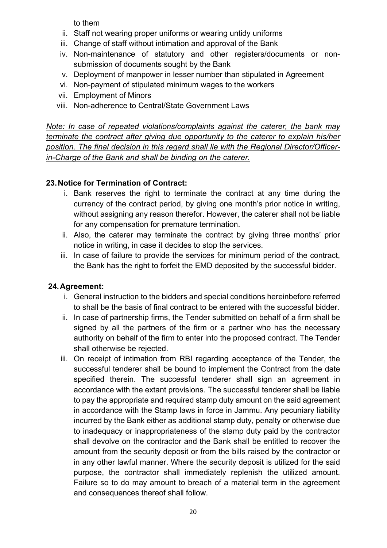to them

- ii. Staff not wearing proper uniforms or wearing untidy uniforms
- iii. Change of staff without intimation and approval of the Bank
- iv. Non-maintenance of statutory and other registers/documents or nonsubmission of documents sought by the Bank
- v. Deployment of manpower in lesser number than stipulated in Agreement
- vi. Non-payment of stipulated minimum wages to the workers
- vii. Employment of Minors
- viii. Non-adherence to Central/State Government Laws

*Note: In case of repeated violations/complaints against the caterer, the bank may terminate the contract after giving due opportunity to the caterer to explain his/her position. The final decision in this regard shall lie with the Regional Director/Officerin-Charge of the Bank and shall be binding on the caterer.*

# **23.Notice for Termination of Contract:**

- i. Bank reserves the right to terminate the contract at any time during the currency of the contract period, by giving one month's prior notice in writing, without assigning any reason therefor. However, the caterer shall not be liable for any compensation for premature termination.
- ii. Also, the caterer may terminate the contract by giving three months' prior notice in writing, in case it decides to stop the services.
- iii. In case of failure to provide the services for minimum period of the contract, the Bank has the right to forfeit the EMD deposited by the successful bidder.

# **24.Agreement:**

- i. General instruction to the bidders and special conditions hereinbefore referred to shall be the basis of final contract to be entered with the successful bidder.
- ii. In case of partnership firms, the Tender submitted on behalf of a firm shall be signed by all the partners of the firm or a partner who has the necessary authority on behalf of the firm to enter into the proposed contract. The Tender shall otherwise be rejected.
- iii. On receipt of intimation from RBI regarding acceptance of the Tender, the successful tenderer shall be bound to implement the Contract from the date specified therein. The successful tenderer shall sign an agreement in accordance with the extant provisions. The successful tenderer shall be liable to pay the appropriate and required stamp duty amount on the said agreement in accordance with the Stamp laws in force in Jammu. Any pecuniary liability incurred by the Bank either as additional stamp duty, penalty or otherwise due to inadequacy or inappropriateness of the stamp duty paid by the contractor shall devolve on the contractor and the Bank shall be entitled to recover the amount from the security deposit or from the bills raised by the contractor or in any other lawful manner. Where the security deposit is utilized for the said purpose, the contractor shall immediately replenish the utilized amount. Failure so to do may amount to breach of a material term in the agreement and consequences thereof shall follow.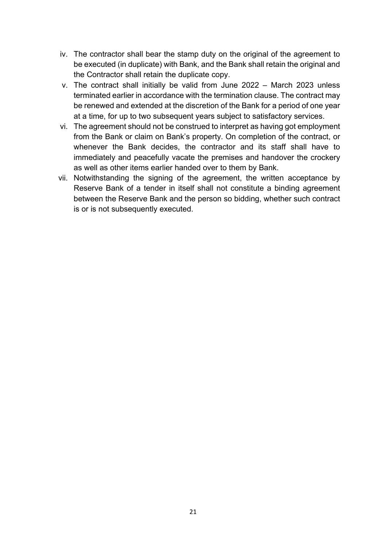- iv. The contractor shall bear the stamp duty on the original of the agreement to be executed (in duplicate) with Bank, and the Bank shall retain the original and the Contractor shall retain the duplicate copy.
- v. The contract shall initially be valid from June 2022 March 2023 unless terminated earlier in accordance with the termination clause. The contract may be renewed and extended at the discretion of the Bank for a period of one year at a time, for up to two subsequent years subject to satisfactory services.
- vi. The agreement should not be construed to interpret as having got employment from the Bank or claim on Bank's property. On completion of the contract, or whenever the Bank decides, the contractor and its staff shall have to immediately and peacefully vacate the premises and handover the crockery as well as other items earlier handed over to them by Bank.
- vii. Notwithstanding the signing of the agreement, the written acceptance by Reserve Bank of a tender in itself shall not constitute a binding agreement between the Reserve Bank and the person so bidding, whether such contract is or is not subsequently executed.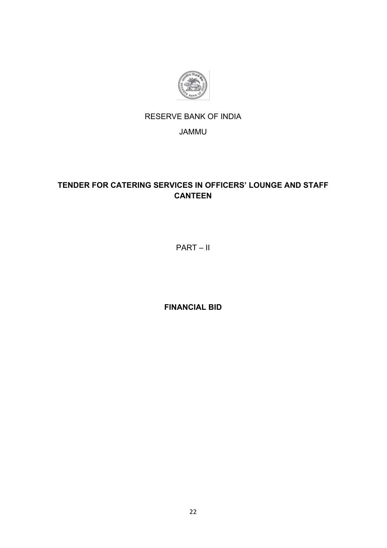

# RESERVE BANK OF INDIA

# JAMMU

# **TENDER FOR CATERING SERVICES IN OFFICERS' LOUNGE AND STAFF CANTEEN**

PART – II

**FINANCIAL BID**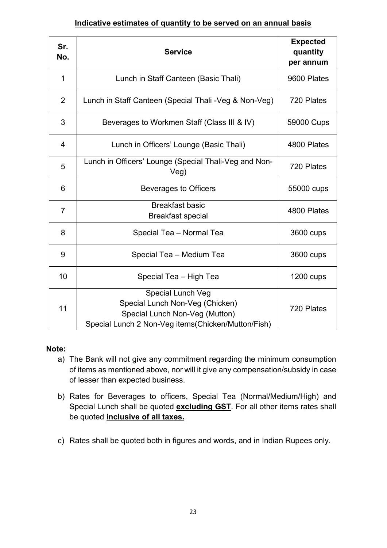### **Indicative estimates of quantity to be served on an annual basis**

| Sr.<br>No.     | <b>Service</b>                                                                                                                               | <b>Expected</b><br>quantity<br>per annum |
|----------------|----------------------------------------------------------------------------------------------------------------------------------------------|------------------------------------------|
| $\mathbf 1$    | Lunch in Staff Canteen (Basic Thali)                                                                                                         | 9600 Plates                              |
| $\overline{2}$ | Lunch in Staff Canteen (Special Thali - Veg & Non-Veg)                                                                                       | 720 Plates                               |
| 3              | Beverages to Workmen Staff (Class III & IV)                                                                                                  | 59000 Cups                               |
| 4              | Lunch in Officers' Lounge (Basic Thali)                                                                                                      | 4800 Plates                              |
| 5              | Lunch in Officers' Lounge (Special Thali-Veg and Non-<br>Veg)                                                                                | 720 Plates                               |
| 6              | <b>Beverages to Officers</b>                                                                                                                 | 55000 cups                               |
| $\overline{7}$ | <b>Breakfast basic</b><br><b>Breakfast special</b>                                                                                           | 4800 Plates                              |
| 8              | Special Tea - Normal Tea                                                                                                                     | 3600 cups                                |
| 9              | Special Tea - Medium Tea                                                                                                                     | 3600 cups                                |
| 10             | Special Tea - High Tea                                                                                                                       | 1200 cups                                |
| 11             | Special Lunch Veg<br>Special Lunch Non-Veg (Chicken)<br>Special Lunch Non-Veg (Mutton)<br>Special Lunch 2 Non-Veg items(Chicken/Mutton/Fish) | 720 Plates                               |

### **Note:**

- a) The Bank will not give any commitment regarding the minimum consumption of items as mentioned above, nor will it give any compensation/subsidy in case of lesser than expected business.
- b) Rates for Beverages to officers, Special Tea (Normal/Medium/High) and Special Lunch shall be quoted **excluding GST**. For all other items rates shall be quoted **inclusive of all taxes.**
- c) Rates shall be quoted both in figures and words, and in Indian Rupees only.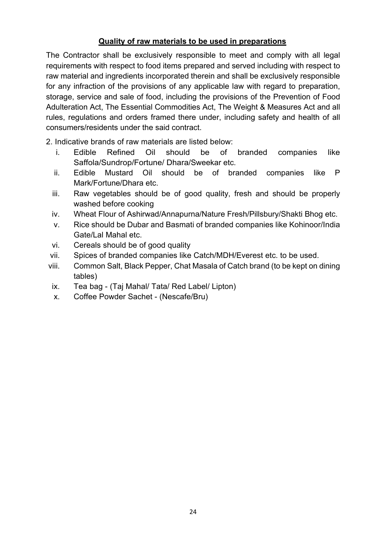# **Quality of raw materials to be used in preparations**

The Contractor shall be exclusively responsible to meet and comply with all legal requirements with respect to food items prepared and served including with respect to raw material and ingredients incorporated therein and shall be exclusively responsible for any infraction of the provisions of any applicable law with regard to preparation, storage, service and sale of food, including the provisions of the Prevention of Food Adulteration Act, The Essential Commodities Act, The Weight & Measures Act and all rules, regulations and orders framed there under, including safety and health of all consumers/residents under the said contract.

2. Indicative brands of raw materials are listed below:

- i. Edible Refined Oil should be of branded companies like Saffola/Sundrop/Fortune/ Dhara/Sweekar etc.
- ii. Edible Mustard Oil should be of branded companies like P Mark/Fortune/Dhara etc.
- iii. Raw vegetables should be of good quality, fresh and should be properly washed before cooking
- iv. Wheat Flour of Ashirwad/Annapurna/Nature Fresh/Pillsbury/Shakti Bhog etc.
- v. Rice should be Dubar and Basmati of branded companies like Kohinoor/India Gate/Lal Mahal etc.
- vi. Cereals should be of good quality
- vii. Spices of branded companies like Catch/MDH/Everest etc. to be used.
- viii. Common Salt, Black Pepper, Chat Masala of Catch brand (to be kept on dining tables)
- ix. Tea bag (Taj Mahal/ Tata/ Red Label/ Lipton)
- x. Coffee Powder Sachet (Nescafe/Bru)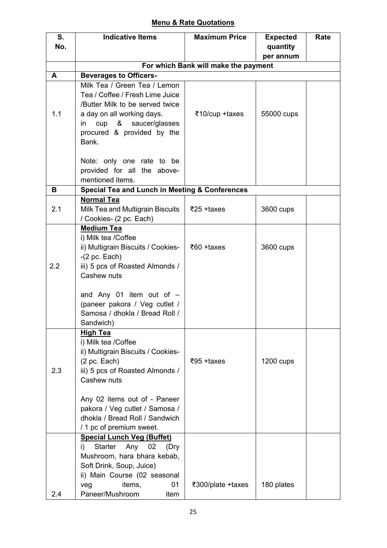# **Menu & Rate Quotations**

| S.  | <b>Indicative Items</b>                                   | <b>Maximum Price</b>                 | <b>Expected</b> | Rate |
|-----|-----------------------------------------------------------|--------------------------------------|-----------------|------|
| No. |                                                           |                                      | quantity        |      |
|     |                                                           |                                      | per annum       |      |
|     |                                                           | For which Bank will make the payment |                 |      |
| A   | <b>Beverages to Officers-</b>                             |                                      |                 |      |
|     | Milk Tea / Green Tea / Lemon                              |                                      |                 |      |
|     | Tea / Coffee / Fresh Lime Juice                           |                                      |                 |      |
|     | /Butter Milk to be served twice                           |                                      |                 |      |
| 1.1 | a day on all working days.                                | ₹10/cup +taxes                       | 55000 cups      |      |
|     | cup & saucer/glasses<br>in                                |                                      |                 |      |
|     | procured & provided by the                                |                                      |                 |      |
|     | Bank.                                                     |                                      |                 |      |
|     |                                                           |                                      |                 |      |
|     | Note: only one rate to be                                 |                                      |                 |      |
|     | provided for all the above-                               |                                      |                 |      |
|     | mentioned items.                                          |                                      |                 |      |
| В   | <b>Special Tea and Lunch in Meeting &amp; Conferences</b> |                                      |                 |      |
|     | <b>Normal Tea</b>                                         |                                      |                 |      |
| 2.1 | Milk Tea and Multigrain Biscuits                          | $\overline{5}25 + \text{taxes}$      | 3600 cups       |      |
|     | / Cookies- (2 pc. Each)                                   |                                      |                 |      |
|     | <b>Medium Tea</b>                                         |                                      |                 |      |
|     | i) Milk tea /Coffee                                       |                                      |                 |      |
|     | ii) Multigrain Biscuits / Cookies-                        | $\overline{560}$ +taxes              | 3600 cups       |      |
|     | $-(2 \text{ pc.}$ Each)                                   |                                      |                 |      |
| 2.2 | iii) 5 pcs of Roasted Almonds /                           |                                      |                 |      |
|     | Cashew nuts                                               |                                      |                 |      |
|     | and Any 01 item out of $-$                                |                                      |                 |      |
|     | (paneer pakora / Veg cutlet /                             |                                      |                 |      |
|     | Samosa / dhokla / Bread Roll /                            |                                      |                 |      |
|     | Sandwich)                                                 |                                      |                 |      |
|     | <b>High Tea</b>                                           |                                      |                 |      |
|     | i) Milk tea /Coffee                                       |                                      |                 |      |
|     | ii) Multigrain Biscuits / Cookies-                        |                                      |                 |      |
|     | $(2 \text{ pc.}$ Each)                                    | $\overline{5}95 + \text{taxes}$      | $1200$ cups     |      |
| 2.3 | iii) 5 pcs of Roasted Almonds /                           |                                      |                 |      |
|     | Cashew nuts                                               |                                      |                 |      |
|     |                                                           |                                      |                 |      |
|     | Any 02 items out of - Paneer                              |                                      |                 |      |
|     | pakora / Veg cutlet / Samosa /                            |                                      |                 |      |
|     | dhokla / Bread Roll / Sandwich                            |                                      |                 |      |
|     | / 1 pc of premium sweet.                                  |                                      |                 |      |
|     | <b>Special Lunch Veg (Buffet)</b>                         |                                      |                 |      |
|     | Starter<br>Any<br>02<br>i)<br>(Dry                        |                                      |                 |      |
|     | Mushroom, hara bhara kebab,                               |                                      |                 |      |
|     | Soft Drink, Soup, Juice)                                  |                                      |                 |      |
|     | ii) Main Course (02 seasonal                              |                                      |                 |      |
|     | items,<br>01<br>veg                                       | ₹300/plate +taxes                    | 180 plates      |      |
| 2.4 | Paneer/Mushroom<br>item                                   |                                      |                 |      |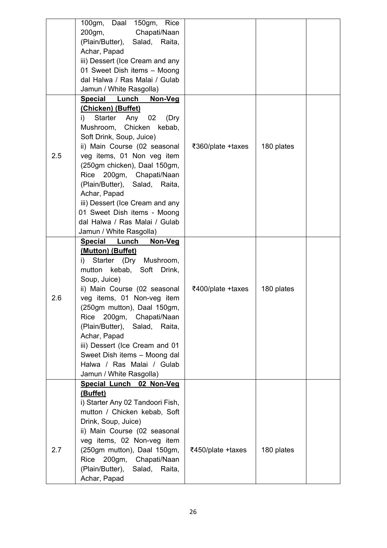|     | 100gm, Daal<br>150gm,<br>Rice    |                   |            |  |
|-----|----------------------------------|-------------------|------------|--|
|     | 200gm,<br>Chapati/Naan           |                   |            |  |
|     | (Plain/Butter),<br>Salad, Raita, |                   |            |  |
|     | Achar, Papad                     |                   |            |  |
|     | iii) Dessert (Ice Cream and any  |                   |            |  |
|     | 01 Sweet Dish items - Moong      |                   |            |  |
|     | dal Halwa / Ras Malai / Gulab    |                   |            |  |
|     | Jamun / White Rasgolla)          |                   |            |  |
|     | Special Lunch<br>Non-Veg         |                   |            |  |
|     | (Chicken) (Buffet)               |                   |            |  |
|     | Starter Any<br>02<br>(Dry<br>i)  |                   |            |  |
|     | Chicken<br>Mushroom,<br>kebab,   |                   |            |  |
|     | Soft Drink, Soup, Juice)         |                   |            |  |
|     | ii) Main Course (02 seasonal     | ₹360/plate +taxes | 180 plates |  |
| 2.5 | veg items, 01 Non veg item       |                   |            |  |
|     | (250gm chicken), Daal 150gm,     |                   |            |  |
|     | 200gm, Chapati/Naan<br>Rice      |                   |            |  |
|     | (Plain/Butter), Salad, Raita,    |                   |            |  |
|     | Achar, Papad                     |                   |            |  |
|     | iii) Dessert (Ice Cream and any  |                   |            |  |
|     | 01 Sweet Dish items - Moong      |                   |            |  |
|     | dal Halwa / Ras Malai / Gulab    |                   |            |  |
|     | Jamun / White Rasgolla)          |                   |            |  |
|     | Special Lunch<br><u>Non-Veg</u>  |                   |            |  |
|     | (Mutton) (Buffet)                |                   |            |  |
|     | Starter (Dry Mushroom,<br>i)     |                   |            |  |
|     | mutton kebab, Soft<br>Drink,     |                   |            |  |
|     | Soup, Juice)                     |                   |            |  |
|     | ii) Main Course (02 seasonal     | ₹400/plate +taxes | 180 plates |  |
| 2.6 | veg items, 01 Non-veg item       |                   |            |  |
|     | (250gm mutton), Daal 150gm,      |                   |            |  |
|     | Rice 200gm, Chapati/Naan         |                   |            |  |
|     | (Plain/Butter), Salad, Raita,    |                   |            |  |
|     | Achar, Papad                     |                   |            |  |
|     | iii) Dessert (Ice Cream and 01   |                   |            |  |
|     | Sweet Dish items - Moong dal     |                   |            |  |
|     | Halwa / Ras Malai / Gulab        |                   |            |  |
|     | Jamun / White Rasgolla)          |                   |            |  |
|     | Special Lunch 02 Non-Veg         |                   |            |  |
|     | (Buffet)                         |                   |            |  |
|     | i) Starter Any 02 Tandoori Fish, |                   |            |  |
|     | mutton / Chicken kebab, Soft     |                   |            |  |
|     | Drink, Soup, Juice)              |                   |            |  |
|     | ii) Main Course (02 seasonal     |                   |            |  |
|     | veg items, 02 Non-veg item       |                   |            |  |
| 2.7 | (250gm mutton), Daal 150gm,      | ₹450/plate +taxes | 180 plates |  |
|     | Rice<br>200gm, Chapati/Naan      |                   |            |  |
|     | (Plain/Butter),<br>Salad, Raita, |                   |            |  |
|     | Achar, Papad                     |                   |            |  |
|     |                                  |                   |            |  |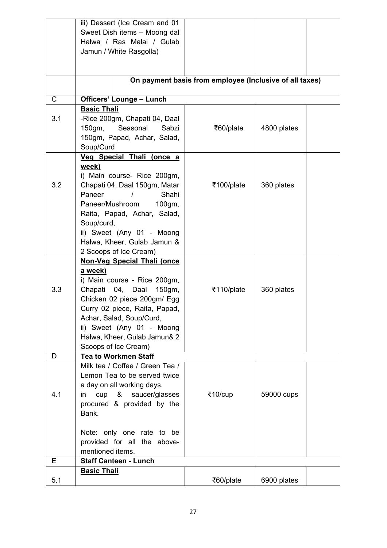|     | iii) Dessert (Ice Cream and 01      |                                                         |             |  |
|-----|-------------------------------------|---------------------------------------------------------|-------------|--|
|     | Sweet Dish items - Moong dal        |                                                         |             |  |
|     | Halwa / Ras Malai / Gulab           |                                                         |             |  |
|     | Jamun / White Rasgolla)             |                                                         |             |  |
|     |                                     |                                                         |             |  |
|     |                                     |                                                         |             |  |
|     |                                     | On payment basis from employee (Inclusive of all taxes) |             |  |
|     |                                     |                                                         |             |  |
| C   | <b>Officers' Lounge - Lunch</b>     |                                                         |             |  |
|     | <b>Basic Thali</b>                  |                                                         |             |  |
| 3.1 | -Rice 200gm, Chapati 04, Daal       |                                                         |             |  |
|     | Seasonal<br>150gm,<br>Sabzi         | ₹60/plate                                               | 4800 plates |  |
|     | 150gm, Papad, Achar, Salad,         |                                                         |             |  |
|     | Soup/Curd                           |                                                         |             |  |
|     | Veg Special Thali (once a           |                                                         |             |  |
|     | week)                               |                                                         |             |  |
|     | i) Main course- Rice 200gm,         |                                                         |             |  |
| 3.2 | Chapati 04, Daal 150gm, Matar       | ₹100/plate                                              | 360 plates  |  |
|     | Paneer<br>Shahi                     |                                                         |             |  |
|     | Paneer/Mushroom<br>$100$ gm,        |                                                         |             |  |
|     | Raita, Papad, Achar, Salad,         |                                                         |             |  |
|     | Soup/curd,                          |                                                         |             |  |
|     | ii) Sweet (Any 01 - Moong           |                                                         |             |  |
|     | Halwa, Kheer, Gulab Jamun &         |                                                         |             |  |
|     | 2 Scoops of Ice Cream)              |                                                         |             |  |
|     | Non-Veg Special Thali (once         |                                                         |             |  |
|     | a week)                             |                                                         |             |  |
|     | i) Main course - Rice 200gm,        |                                                         |             |  |
| 3.3 | Chapati 04, Daal<br>150gm,          | ₹110/plate                                              | 360 plates  |  |
|     | Chicken 02 piece 200gm/ Egg         |                                                         |             |  |
|     | Curry 02 piece, Raita, Papad,       |                                                         |             |  |
|     | Achar, Salad, Soup/Curd,            |                                                         |             |  |
|     | ii) Sweet (Any 01 - Moong           |                                                         |             |  |
|     | Halwa, Kheer, Gulab Jamun& 2        |                                                         |             |  |
|     | Scoops of Ice Cream)                |                                                         |             |  |
| D   | <b>Tea to Workmen Staff</b>         |                                                         |             |  |
|     | Milk tea / Coffee / Green Tea /     |                                                         |             |  |
|     | Lemon Tea to be served twice        |                                                         |             |  |
| 4.1 | a day on all working days.          |                                                         |             |  |
|     | cup & saucer/glasses<br>in.         | ₹10/cup                                                 | 59000 cups  |  |
|     | procured & provided by the<br>Bank. |                                                         |             |  |
|     |                                     |                                                         |             |  |
|     | Note: only one rate to be           |                                                         |             |  |
|     | provided for all the above-         |                                                         |             |  |
|     | mentioned items.                    |                                                         |             |  |
| E.  | <b>Staff Canteen - Lunch</b>        |                                                         |             |  |
|     | <b>Basic Thali</b>                  |                                                         |             |  |
| 5.1 |                                     | ₹60/plate                                               | 6900 plates |  |
|     |                                     |                                                         |             |  |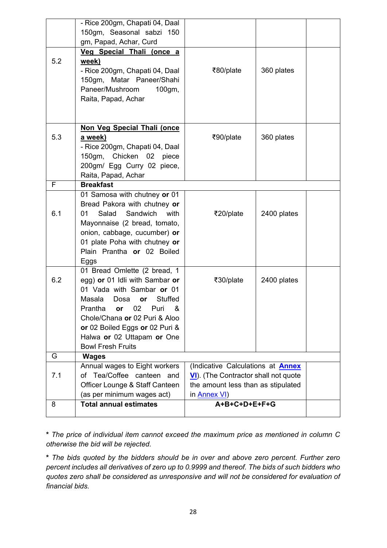|     | - Rice 200gm, Chapati 04, Daal                |                                          |             |  |
|-----|-----------------------------------------------|------------------------------------------|-------------|--|
|     | 150gm, Seasonal sabzi 150                     |                                          |             |  |
|     | gm, Papad, Achar, Curd                        |                                          |             |  |
|     | Veg Special Thali (once a                     |                                          |             |  |
| 5.2 | week)                                         |                                          |             |  |
|     | - Rice 200gm, Chapati 04, Daal                | ₹80/plate                                | 360 plates  |  |
|     | 150gm, Matar Paneer/Shahi                     |                                          |             |  |
|     | Paneer/Mushroom<br>100gm,                     |                                          |             |  |
|     | Raita, Papad, Achar                           |                                          |             |  |
|     |                                               |                                          |             |  |
|     |                                               |                                          |             |  |
|     | Non Veg Special Thali (once                   |                                          |             |  |
| 5.3 | a week)                                       | ₹90/plate                                | 360 plates  |  |
|     | - Rice 200gm, Chapati 04, Daal                |                                          |             |  |
|     | 150gm, Chicken 02 piece                       |                                          |             |  |
|     | 200gm/ Egg Curry 02 piece,                    |                                          |             |  |
|     | Raita, Papad, Achar                           |                                          |             |  |
| F   | <b>Breakfast</b>                              |                                          |             |  |
|     | 01 Samosa with chutney or 01                  |                                          |             |  |
|     | Bread Pakora with chutney or                  |                                          |             |  |
| 6.1 | Salad<br>Sandwich<br>01<br>with               | ₹20/plate                                | 2400 plates |  |
|     | Mayonnaise (2 bread, tomato,                  |                                          |             |  |
|     | onion, cabbage, cucumber) or                  |                                          |             |  |
|     | 01 plate Poha with chutney or                 |                                          |             |  |
|     | Plain Prantha or 02 Boiled                    |                                          |             |  |
|     | Eggs                                          |                                          |             |  |
|     | 01 Bread Omlette (2 bread, 1                  |                                          |             |  |
| 6.2 | egg) or 01 Idli with Sambar or                | ₹30/plate                                | 2400 plates |  |
|     | 01 Vada with Sambar or 01                     |                                          |             |  |
|     | <b>Stuffed</b><br>Masala<br>Dosa<br><b>or</b> |                                          |             |  |
|     | Prantha or 02 Puri &                          |                                          |             |  |
|     | Chole/Chana or 02 Puri & Aloo                 |                                          |             |  |
|     | or 02 Boiled Eggs or 02 Puri &                |                                          |             |  |
|     | Halwa or 02 Uttapam or One                    |                                          |             |  |
|     | <b>Bowl Fresh Fruits</b>                      |                                          |             |  |
| G   | <b>Wages</b>                                  |                                          |             |  |
|     | Annual wages to Eight workers                 | (Indicative Calculations at <b>Annex</b> |             |  |
| 7.1 | of Tea/Coffee canteen and                     | VI). (The Contractor shall not quote     |             |  |
|     | Officer Lounge & Staff Canteen                | the amount less than as stipulated       |             |  |
|     | (as per minimum wages act)                    | in Annex VI)                             |             |  |
| 8   | <b>Total annual estimates</b>                 | A+B+C+D+E+F+G                            |             |  |
|     |                                               |                                          |             |  |

**\*** *The price of individual item cannot exceed the maximum price as mentioned in column C otherwise the bid will be rejected.*

**\*** *The bids quoted by the bidders should be in over and above zero percent. Further zero percent includes all derivatives of zero up to 0.9999 and thereof. The bids of such bidders who quotes zero shall be considered as unresponsive and will not be considered for evaluation of financial bids.*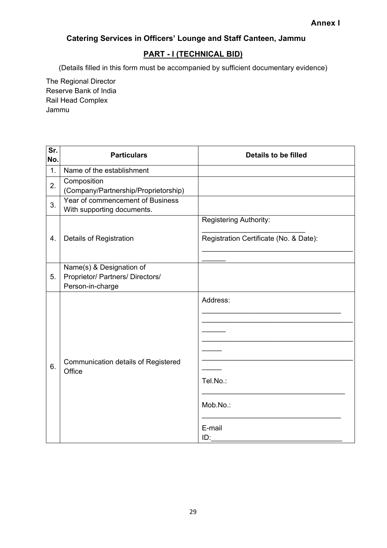# <span id="page-28-0"></span>**Catering Services in Officers' Lounge and Staff Canteen, Jammu**

### **PART - I (TECHNICAL BID)**

(Details filled in this form must be accompanied by sufficient documentary evidence)

The Regional Director Reserve Bank of India Rail Head Complex Jammu

| Sr.<br>No. | <b>Particulars</b>                                                               | <b>Details to be filled</b>                                             |
|------------|----------------------------------------------------------------------------------|-------------------------------------------------------------------------|
| 1.         | Name of the establishment                                                        |                                                                         |
| 2.         | Composition<br>(Company/Partnership/Proprietorship)                              |                                                                         |
| 3.         | Year of commencement of Business<br>With supporting documents.                   |                                                                         |
| 4.         | Details of Registration                                                          | <b>Registering Authority:</b><br>Registration Certificate (No. & Date): |
| 5.         | Name(s) & Designation of<br>Proprietor/ Partners/ Directors/<br>Person-in-charge |                                                                         |
| 6.         | Communication details of Registered<br>Office                                    | Address:<br>Tel.No.:<br>Mob.No.:<br>E-mail<br>ID:                       |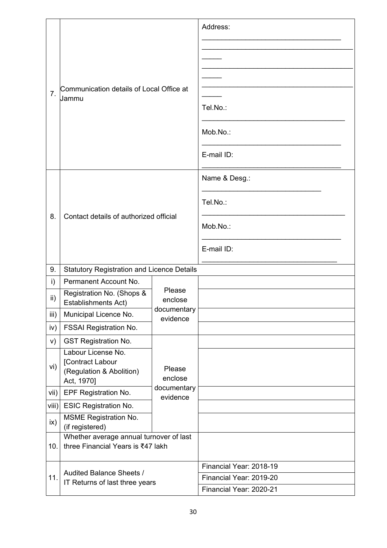|                                              | Communication details of Local Office at<br>7 <sub>1</sub><br>Jammu              |                         | Address:                |
|----------------------------------------------|----------------------------------------------------------------------------------|-------------------------|-------------------------|
|                                              |                                                                                  |                         |                         |
|                                              |                                                                                  |                         |                         |
|                                              |                                                                                  |                         |                         |
|                                              |                                                                                  |                         | Tel.No.:                |
|                                              |                                                                                  |                         | Mob.No.:                |
|                                              |                                                                                  |                         | E-mail ID:              |
|                                              |                                                                                  |                         | Name & Desg.:           |
|                                              |                                                                                  |                         | Tel.No.:                |
| Contact details of authorized official<br>8. |                                                                                  |                         | Mob.No.:                |
|                                              |                                                                                  |                         | E-mail ID:              |
| 9.                                           | <b>Statutory Registration and Licence Details</b>                                |                         |                         |
| $\mathsf{i}$                                 | Permanent Account No.                                                            |                         |                         |
| ii)                                          | Registration No. (Shops &<br>Establishments Act)                                 | Please<br>enclose       |                         |
| iii)                                         | Municipal Licence No.                                                            | documentary<br>evidence |                         |
| iv)                                          | <b>FSSAI Registration No.</b>                                                    |                         |                         |
| V)                                           | <b>GST Registration No.</b>                                                      |                         |                         |
| vi)                                          | Labour License No.<br>[Contract Labour<br>(Regulation & Abolition)<br>Act, 1970] | Please<br>enclose       |                         |
| vii)                                         | <b>EPF Registration No.</b>                                                      | documentary<br>evidence |                         |
| viii)                                        | <b>ESIC Registration No.</b>                                                     |                         |                         |
| $\mathsf{ix}$                                | <b>MSME Registration No.</b><br>(if registered)                                  |                         |                         |
| 10.                                          | Whether average annual turnover of last<br>three Financial Years is ₹47 lakh     |                         |                         |
|                                              |                                                                                  |                         | Financial Year: 2018-19 |
| 11.                                          | Audited Balance Sheets /<br>IT Returns of last three years                       |                         | Financial Year: 2019-20 |
|                                              |                                                                                  |                         | Financial Year: 2020-21 |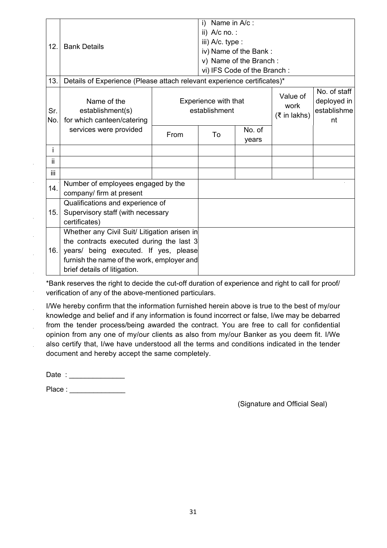|              |                                                                         | Name in A/c :<br>i)                   |                        |                                  |                                                  |  |
|--------------|-------------------------------------------------------------------------|---------------------------------------|------------------------|----------------------------------|--------------------------------------------------|--|
| 12.          | <b>Bank Details</b>                                                     |                                       | ii) $A/c$ no.:         |                                  |                                                  |  |
|              |                                                                         |                                       | iii) A/c. type :       |                                  |                                                  |  |
|              |                                                                         |                                       | iv) Name of the Bank:  |                                  |                                                  |  |
|              |                                                                         |                                       | v) Name of the Branch: |                                  |                                                  |  |
|              |                                                                         | vi) IFS Code of the Branch:           |                        |                                  |                                                  |  |
| 13.          | Details of Experience (Please attach relevant experience certificates)* |                                       |                        |                                  |                                                  |  |
| Sr.<br>No.   | Name of the<br>establishment(s)<br>for which canteen/catering           | Experience with that<br>establishment |                        | Value of<br>work<br>(₹ in lakhs) | No. of staff<br>deployed in<br>establishme<br>nt |  |
|              | services were provided                                                  | From                                  | To                     | No. of<br>years                  |                                                  |  |
| $\mathbf{i}$ |                                                                         |                                       |                        |                                  |                                                  |  |
| ii.          |                                                                         |                                       |                        |                                  |                                                  |  |
| iii.         |                                                                         |                                       |                        |                                  |                                                  |  |
| 14.          | Number of employees engaged by the                                      |                                       |                        |                                  |                                                  |  |
|              | company/ firm at present                                                |                                       |                        |                                  |                                                  |  |
|              | Qualifications and experience of                                        |                                       |                        |                                  |                                                  |  |
| 15.          | Supervisory staff (with necessary                                       |                                       |                        |                                  |                                                  |  |
|              | certificates)                                                           |                                       |                        |                                  |                                                  |  |
|              | Whether any Civil Suit/ Litigation arisen in                            |                                       |                        |                                  |                                                  |  |
|              | the contracts executed during the last 3                                |                                       |                        |                                  |                                                  |  |
| 16.          | years/ being executed. If yes, please                                   |                                       |                        |                                  |                                                  |  |
|              | furnish the name of the work, employer and                              |                                       |                        |                                  |                                                  |  |
|              | brief details of litigation.                                            |                                       |                        |                                  |                                                  |  |

\*Bank reserves the right to decide the cut-off duration of experience and right to call for proof/ verification of any of the above-mentioned particulars.

I/We hereby confirm that the information furnished herein above is true to the best of my/our knowledge and belief and if any information is found incorrect or false, I/we may be debarred from the tender process/being awarded the contract. You are free to call for confidential opinion from any one of my/our clients as also from my/our Banker as you deem fit. I/We also certify that, I/we have understood all the terms and conditions indicated in the tender document and hereby accept the same completely.

Date : \_\_\_\_\_\_\_\_\_\_\_\_\_\_

 $\hat{\mathbf{r}}$ 

 $\alpha$ 

Place : \_\_\_\_\_\_\_\_\_\_\_\_\_\_

(Signature and Official Seal)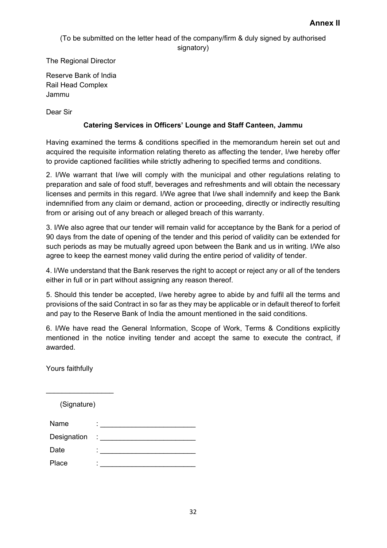(To be submitted on the letter head of the company/firm & duly signed by authorised signatory)

The Regional Director

Reserve Bank of India Rail Head Complex Jammu

Dear Sir

#### **Catering Services in Officers' Lounge and Staff Canteen, Jammu**

Having examined the terms & conditions specified in the memorandum herein set out and acquired the requisite information relating thereto as affecting the tender, I/we hereby offer to provide captioned facilities while strictly adhering to specified terms and conditions.

2. I/We warrant that I/we will comply with the municipal and other regulations relating to preparation and sale of food stuff, beverages and refreshments and will obtain the necessary licenses and permits in this regard. I/We agree that I/we shall indemnify and keep the Bank indemnified from any claim or demand, action or proceeding, directly or indirectly resulting from or arising out of any breach or alleged breach of this warranty.

3. I/We also agree that our tender will remain valid for acceptance by the Bank for a period of 90 days from the date of opening of the tender and this period of validity can be extended for such periods as may be mutually agreed upon between the Bank and us in writing. I/We also agree to keep the earnest money valid during the entire period of validity of tender.

4. I/We understand that the Bank reserves the right to accept or reject any or all of the tenders either in full or in part without assigning any reason thereof.

5. Should this tender be accepted, I/we hereby agree to abide by and fulfil all the terms and provisions of the said Contract in so far as they may be applicable or in default thereof to forfeit and pay to the Reserve Bank of India the amount mentioned in the said conditions.

6. I/We have read the General Information, Scope of Work, Terms & Conditions explicitly mentioned in the notice inviting tender and accept the same to execute the contract, if awarded.

Yours faithfully

(Signature)

 $\_$ 

| Name        | ۰                                        |
|-------------|------------------------------------------|
| Designation | $\frac{1}{2}$ . The set of $\frac{1}{2}$ |
| Date        | ٠<br>٠                                   |
| Place       | ۰                                        |
|             |                                          |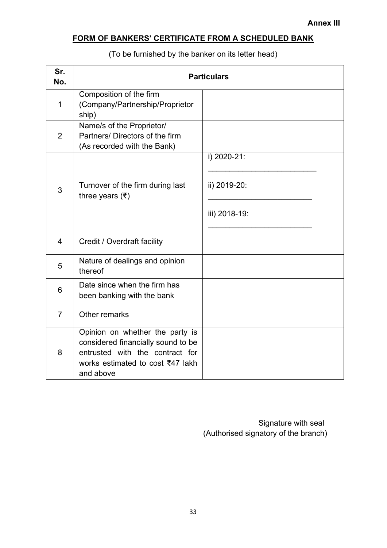# <span id="page-32-0"></span>**FORM OF BANKERS' CERTIFICATE FROM A SCHEDULED BANK**

(To be furnished by the banker on its letter head)

| Sr.<br>No.     | <b>Particulars</b>                                                                                                                                        |                                              |  |
|----------------|-----------------------------------------------------------------------------------------------------------------------------------------------------------|----------------------------------------------|--|
| $\mathbf 1$    | Composition of the firm<br>(Company/Partnership/Proprietor<br>ship)                                                                                       |                                              |  |
| $\overline{2}$ | Name/s of the Proprietor/<br>Partners/ Directors of the firm<br>(As recorded with the Bank)                                                               |                                              |  |
| 3              | Turnover of the firm during last<br>three years $(\bar{\tau})$                                                                                            | i) 2020-21:<br>ii) 2019-20:<br>iii) 2018-19: |  |
| 4              | Credit / Overdraft facility                                                                                                                               |                                              |  |
| 5              | Nature of dealings and opinion<br>thereof                                                                                                                 |                                              |  |
| 6              | Date since when the firm has<br>been banking with the bank                                                                                                |                                              |  |
| $\overline{7}$ | Other remarks                                                                                                                                             |                                              |  |
| 8              | Opinion on whether the party is<br>considered financially sound to be<br>entrusted with the contract for<br>works estimated to cost ₹47 lakh<br>and above |                                              |  |

 Signature with seal (Authorised signatory of the branch)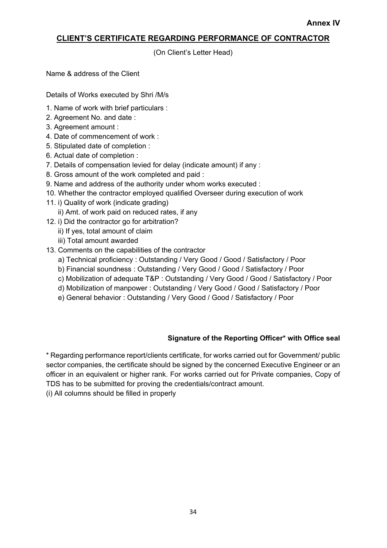#### <span id="page-33-0"></span>**CLIENT'S CERTIFICATE REGARDING PERFORMANCE OF CONTRACTOR**

(On Client's Letter Head)

Name & address of the Client

Details of Works executed by Shri /M/s

- 1. Name of work with brief particulars :
- 2. Agreement No. and date :
- 3. Agreement amount :
- 4. Date of commencement of work :
- 5. Stipulated date of completion :
- 6. Actual date of completion :
- 7. Details of compensation levied for delay (indicate amount) if any :
- 8. Gross amount of the work completed and paid :
- 9. Name and address of the authority under whom works executed :
- 10. Whether the contractor employed qualified Overseer during execution of work
- 11. i) Quality of work (indicate grading)
	- ii) Amt. of work paid on reduced rates, if any
- 12. i) Did the contractor go for arbitration?
	- ii) If yes, total amount of claim
	- iii) Total amount awarded
- 13. Comments on the capabilities of the contractor
	- a) Technical proficiency : Outstanding / Very Good / Good / Satisfactory / Poor
	- b) Financial soundness : Outstanding / Very Good / Good / Satisfactory / Poor
	- c) Mobilization of adequate T&P : Outstanding / Very Good / Good / Satisfactory / Poor
	- d) Mobilization of manpower : Outstanding / Very Good / Good / Satisfactory / Poor
	- e) General behavior : Outstanding / Very Good / Good / Satisfactory / Poor

#### **Signature of the Reporting Officer\* with Office seal**

\* Regarding performance report/clients certificate, for works carried out for Government/ public sector companies, the certificate should be signed by the concerned Executive Engineer or an officer in an equivalent or higher rank. For works carried out for Private companies, Copy of TDS has to be submitted for proving the credentials/contract amount.

(i) All columns should be filled in properly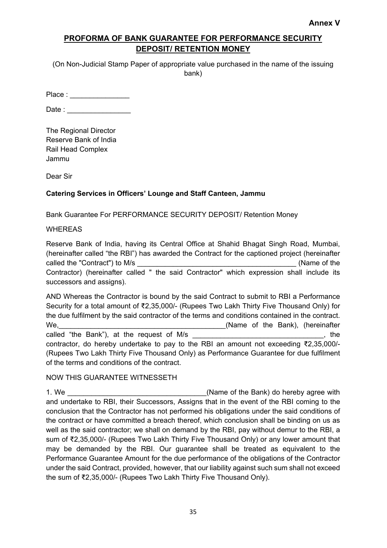#### <span id="page-34-0"></span>**PROFORMA OF BANK GUARANTEE FOR PERFORMANCE SECURITY DEPOSIT/ RETENTION MONEY**

(On Non-Judicial Stamp Paper of appropriate value purchased in the name of the issuing bank)

Place :

Date :

The Regional Director Reserve Bank of India Rail Head Complex Jammu

Dear Sir

#### **Catering Services in Officers' Lounge and Staff Canteen, Jammu**

Bank Guarantee For PERFORMANCE SECURITY DEPOSIT/ Retention Money

#### **WHEREAS**

Reserve Bank of India, having its Central Office at Shahid Bhagat Singh Road, Mumbai, (hereinafter called "the RBI") has awarded the Contract for the captioned project (hereinafter called the "Contract") to M/s  $\blacksquare$ Contractor) (hereinafter called " the said Contractor" which expression shall include its successors and assigns).

AND Whereas the Contractor is bound by the said Contract to submit to RBI a Performance Security for a total amount of ₹2,35,000/- (Rupees Two Lakh Thirty Five Thousand Only) for the due fulfilment by the said contractor of the terms and conditions contained in the contract. We,\_\_\_\_\_\_\_\_\_\_\_\_\_\_\_\_\_\_\_\_\_\_\_\_\_\_\_\_\_\_\_\_\_\_\_\_\_\_\_\_\_\_(Name of the Bank), (hereinafter called "the Bank"), at the request of M/s **Example 20 and 20 and 20 and 20 and 20 and 20 and 20 and 20 and 20 and 20 and 20 and 20 and 20 and 20 and 20 and 20 and 20 and 20 and 20 and 20 and 20 and 20 and 20 and 20 and 20** contractor, do hereby undertake to pay to the RBI an amount not exceeding ₹2,35,000/- (Rupees Two Lakh Thirty Five Thousand Only) as Performance Guarantee for due fulfilment of the terms and conditions of the contract.

#### NOW THIS GUARANTEE WITNESSETH

1. We **the contract of the Bank**) do hereby agree with and undertake to RBI, their Successors, Assigns that in the event of the RBI coming to the conclusion that the Contractor has not performed his obligations under the said conditions of the contract or have committed a breach thereof, which conclusion shall be binding on us as well as the said contractor; we shall on demand by the RBI, pay without demur to the RBI, a sum of ₹2,35,000/- (Rupees Two Lakh Thirty Five Thousand Only) or any lower amount that may be demanded by the RBI. Our guarantee shall be treated as equivalent to the Performance Guarantee Amount for the due performance of the obligations of the Contractor under the said Contract, provided, however, that our liability against such sum shall not exceed the sum of ₹2,35,000/- (Rupees Two Lakh Thirty Five Thousand Only).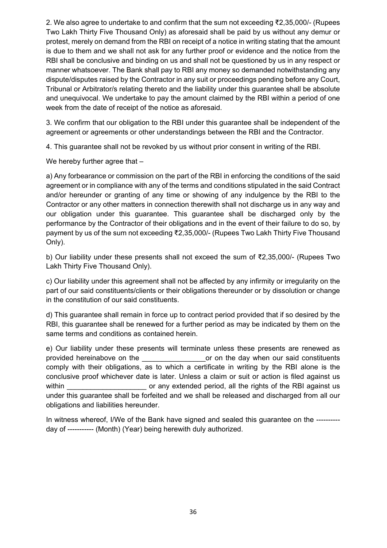2. We also agree to undertake to and confirm that the sum not exceeding ₹2,35,000/- (Rupees Two Lakh Thirty Five Thousand Only) as aforesaid shall be paid by us without any demur or protest, merely on demand from the RBI on receipt of a notice in writing stating that the amount is due to them and we shall not ask for any further proof or evidence and the notice from the RBI shall be conclusive and binding on us and shall not be questioned by us in any respect or manner whatsoever. The Bank shall pay to RBI any money so demanded notwithstanding any dispute/disputes raised by the Contractor in any suit or proceedings pending before any Court, Tribunal or Arbitrator/s relating thereto and the liability under this guarantee shall be absolute and unequivocal. We undertake to pay the amount claimed by the RBI within a period of one week from the date of receipt of the notice as aforesaid.

3. We confirm that our obligation to the RBI under this guarantee shall be independent of the agreement or agreements or other understandings between the RBI and the Contractor.

4. This guarantee shall not be revoked by us without prior consent in writing of the RBI.

We hereby further agree that -

a) Any forbearance or commission on the part of the RBI in enforcing the conditions of the said agreement or in compliance with any of the terms and conditions stipulated in the said Contract and/or hereunder or granting of any time or showing of any indulgence by the RBI to the Contractor or any other matters in connection therewith shall not discharge us in any way and our obligation under this guarantee. This guarantee shall be discharged only by the performance by the Contractor of their obligations and in the event of their failure to do so, by payment by us of the sum not exceeding ₹2,35,000/- (Rupees Two Lakh Thirty Five Thousand Only).

b) Our liability under these presents shall not exceed the sum of ₹2,35,000/- (Rupees Two Lakh Thirty Five Thousand Only).

c) Our liability under this agreement shall not be affected by any infirmity or irregularity on the part of our said constituents/clients or their obligations thereunder or by dissolution or change in the constitution of our said constituents.

d) This guarantee shall remain in force up to contract period provided that if so desired by the RBI, this guarantee shall be renewed for a further period as may be indicated by them on the same terms and conditions as contained herein.

e) Our liability under these presents will terminate unless these presents are renewed as provided hereinabove on the \_\_\_\_\_\_\_\_\_\_\_\_\_\_\_\_or on the day when our said constituents comply with their obligations, as to which a certificate in writing by the RBI alone is the conclusive proof whichever date is later. Unless a claim or suit or action is filed against us within **the verture of any extended period, all the rights of the RBI against us** verture of the RBI against us under this guarantee shall be forfeited and we shall be released and discharged from all our obligations and liabilities hereunder.

In witness whereof, I/We of the Bank have signed and sealed this guarantee on the ---------day of ----------- (Month) (Year) being herewith duly authorized.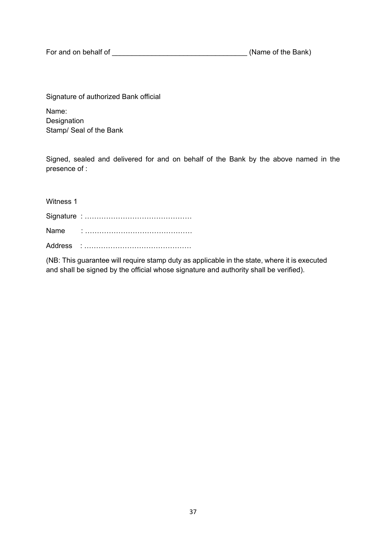For and on behalf of \_\_\_\_\_\_\_\_\_\_\_\_\_\_\_\_\_\_\_\_\_\_\_\_\_\_\_\_\_\_\_\_\_\_ (Name of the Bank)

Signature of authorized Bank official

Name: Designation Stamp/ Seal of the Bank

Signed, sealed and delivered for and on behalf of the Bank by the above named in the presence of :

| Witness 1 |  |
|-----------|--|
|           |  |
| Name      |  |
|           |  |

(NB: This guarantee will require stamp duty as applicable in the state, where it is executed and shall be signed by the official whose signature and authority shall be verified).